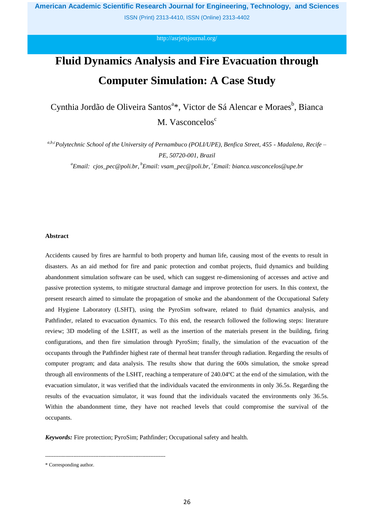ISSN (Print) 2313-4410, ISSN (Online) 2313-4402

<http://asrjetsjournal.org/>

# **Fluid Dynamics Analysis and Fire Evacuation through Computer Simulation: A Case Study**

Cynthia Jordão de Oliveira Santos<sup>a\*</sup>, Victor de Sá Alencar e Moraes<sup>b</sup>, Bianca M. Vasconcelos<sup>c</sup>

*a,b,cPolytechnic School of the University of Pernambuco (POLI/UPE), Benfica Street, 455 - Madalena, Recife – PE, 50720-001, Brazil <sup>a</sup>Email: cjos\_pec@poli.br, <sup>b</sup>Email: vsam\_pec@poli.br, <sup>c</sup>Email: bianca.vasconcelos@upe.br*

# **Abstract**

Accidents caused by fires are harmful to both property and human life, causing most of the events to result in disasters. As an aid method for fire and panic protection and combat projects, fluid dynamics and building abandonment simulation software can be used, which can suggest re-dimensioning of accesses and active and passive protection systems, to mitigate structural damage and improve protection for users. In this context, the present research aimed to simulate the propagation of smoke and the abandonment of the Occupational Safety and Hygiene Laboratory (LSHT), using the PyroSim software, related to fluid dynamics analysis, and Pathfinder, related to evacuation dynamics. To this end, the research followed the following steps: literature review; 3D modeling of the LSHT, as well as the insertion of the materials present in the building, firing configurations, and then fire simulation through PyroSim; finally, the simulation of the evacuation of the occupants through the Pathfinder highest rate of thermal heat transfer through radiation. Regarding the results of computer program; and data analysis. The results show that during the 600s simulation, the smoke spread through all environments of the LSHT, reaching a temperature of 240.04ºC at the end of the simulation, with the evacuation simulator, it was verified that the individuals vacated the environments in only 36.5s. Regarding the results of the evacuation simulator, it was found that the individuals vacated the environments only 36.5s. Within the abandonment time, they have not reached levels that could compromise the survival of the occupants.

*Keywords:* Fire protection; PyroSim; Pathfinder; Occupational safety and health.

------------------------------------------------------------------------

<sup>\*</sup> Corresponding author.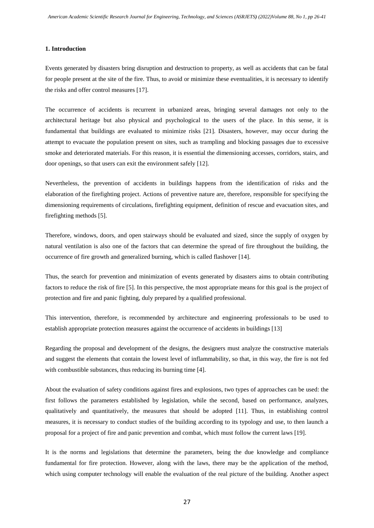### **1. Introduction**

Events generated by disasters bring disruption and destruction to property, as well as accidents that can be fatal for people present at the site of the fire. Thus, to avoid or minimize these eventualities, it is necessary to identify the risks and offer control measures [17].

The occurrence of accidents is recurrent in urbanized areas, bringing several damages not only to the architectural heritage but also physical and psychological to the users of the place. In this sense, it is fundamental that buildings are evaluated to minimize risks [21]. Disasters, however, may occur during the attempt to evacuate the population present on sites, such as trampling and blocking passages due to excessive smoke and deteriorated materials. For this reason, it is essential the dimensioning accesses, corridors, stairs, and door openings, so that users can exit the environment safely [12].

Nevertheless, the prevention of accidents in buildings happens from the identification of risks and the elaboration of the firefighting project. Actions of preventive nature are, therefore, responsible for specifying the dimensioning requirements of circulations, firefighting equipment, definition of rescue and evacuation sites, and firefighting methods [5].

Therefore, windows, doors, and open stairways should be evaluated and sized, since the supply of oxygen by natural ventilation is also one of the factors that can determine the spread of fire throughout the building, the occurrence of fire growth and generalized burning, which is called flashover [14].

Thus, the search for prevention and minimization of events generated by disasters aims to obtain contributing factors to reduce the risk of fire [5]. In this perspective, the most appropriate means for this goal is the project of protection and fire and panic fighting, duly prepared by a qualified professional.

This intervention, therefore, is recommended by architecture and engineering professionals to be used to establish appropriate protection measures against the occurrence of accidents in buildings [13]

Regarding the proposal and development of the designs, the designers must analyze the constructive materials and suggest the elements that contain the lowest level of inflammability, so that, in this way, the fire is not fed with combustible substances, thus reducing its burning time [4].

About the evaluation of safety conditions against fires and explosions, two types of approaches can be used: the first follows the parameters established by legislation, while the second, based on performance, analyzes, qualitatively and quantitatively, the measures that should be adopted [11]. Thus, in establishing control measures, it is necessary to conduct studies of the building according to its typology and use, to then launch a proposal for a project of fire and panic prevention and combat, which must follow the current laws [19].

It is the norms and legislations that determine the parameters, being the due knowledge and compliance fundamental for fire protection. However, along with the laws, there may be the application of the method, which using computer technology will enable the evaluation of the real picture of the building. Another aspect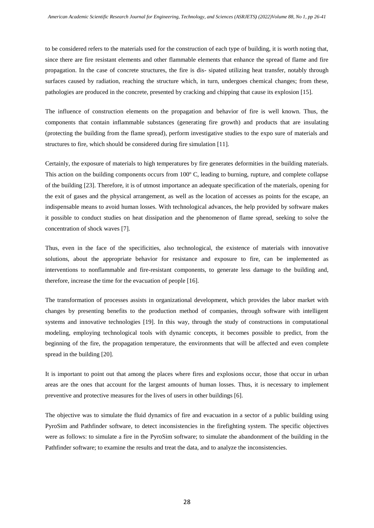to be considered refers to the materials used for the construction of each type of building, it is worth noting that, since there are fire resistant elements and other flammable elements that enhance the spread of flame and fire propagation. In the case of concrete structures, the fire is dis- sipated utilizing heat transfer, notably through surfaces caused by radiation, reaching the structure which, in turn, undergoes chemical changes; from these, pathologies are produced in the concrete, presented by cracking and chipping that cause its explosion [15].

The influence of construction elements on the propagation and behavior of fire is well known. Thus, the components that contain inflammable substances (generating fire growth) and products that are insulating (protecting the building from the flame spread), perform investigative studies to the expo sure of materials and structures to fire, which should be considered during fire simulation [11].

Certainly, the exposure of materials to high temperatures by fire generates deformities in the building materials. This action on the building components occurs from 100º C, leading to burning, rupture, and complete collapse of the building [23]. Therefore, it is of utmost importance an adequate specification of the materials, opening for the exit of gases and the physical arrangement, as well as the location of accesses as points for the escape, an indispensable means to avoid human losses. With technological advances, the help provided by software makes it possible to conduct studies on heat dissipation and the phenomenon of flame spread, seeking to solve the concentration of shock waves [7].

Thus, even in the face of the specificities, also technological, the existence of materials with innovative solutions, about the appropriate behavior for resistance and exposure to fire, can be implemented as interventions to nonflammable and fire-resistant components, to generate less damage to the building and, therefore, increase the time for the evacuation of people [16].

The transformation of processes assists in organizational development, which provides the labor market with changes by presenting benefits to the production method of companies, through software with intelligent systems and innovative technologies [19]. In this way, through the study of constructions in computational modeling, employing technological tools with dynamic concepts, it becomes possible to predict, from the beginning of the fire, the propagation temperature, the environments that will be affected and even complete spread in the building [20].

It is important to point out that among the places where fires and explosions occur, those that occur in urban areas are the ones that account for the largest amounts of human losses. Thus, it is necessary to implement preventive and protective measures for the lives of users in other buildings [6].

The objective was to simulate the fluid dynamics of fire and evacuation in a sector of a public building using PyroSim and Pathfinder software, to detect inconsistencies in the firefighting system. The specific objectives were as follows: to simulate a fire in the PyroSim software; to simulate the abandonment of the building in the Pathfinder software; to examine the results and treat the data, and to analyze the inconsistencies.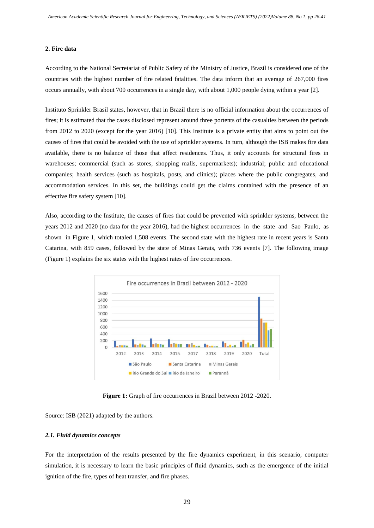#### **2. Fire data**

According to the National Secretariat of Public Safety of the Ministry of Justice, Brazil is considered one of the countries with the highest number of fire related fatalities. The data inform that an average of 267,000 fires occurs annually, with about 700 occurrences in a single day, with about 1,000 people dying within a year [2].

Instituto Sprinkler Brasil states, however, that in Brazil there is no official information about the occurrences of fires; it is estimated that the cases disclosed represent around three portents of the casualties between the periods from 2012 to 2020 (except for the year 2016) [10]. This Institute is a private entity that aims to point out the causes of fires that could be avoided with the use of sprinkler systems. In turn, although the ISB makes fire data available, there is no balance of those that affect residences. Thus, it only accounts for structural fires in warehouses; commercial (such as stores, shopping malls, supermarkets); industrial; public and educational companies; health services (such as hospitals, posts, and clinics); places where the public congregates, and accommodation services. In this set, the buildings could get the claims contained with the presence of an effective fire safety system [10].

Also, according to the Institute, the causes of fires that could be prevented with sprinkler systems, between the years 2012 and 2020 (no data for the year 2016), had the highest occurrences in the state and Sao Paulo, as shown in Figure 1, which totaled 1,508 events. The second state with the highest rate in recent years is Santa Catarina, with 859 cases, followed by the state of Minas Gerais, with 736 events [7]. The following image (Figure 1) explains the six states with the highest rates of fire occurrences.



**Figure 1:** Graph of fire occurrences in Brazil between 2012 -2020.

Source: ISB (2021) adapted by the authors.

# *2.1. Fluid dynamics concepts*

For the interpretation of the results presented by the fire dynamics experiment, in this scenario, computer simulation, it is necessary to learn the basic principles of fluid dynamics, such as the emergence of the initial ignition of the fire, types of heat transfer, and fire phases.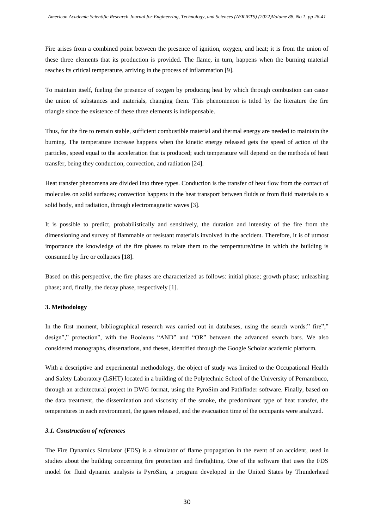Fire arises from a combined point between the presence of ignition, oxygen, and heat; it is from the union of these three elements that its production is provided. The flame, in turn, happens when the burning material reaches its critical temperature, arriving in the process of inflammation [9].

To maintain itself, fueling the presence of oxygen by producing heat by which through combustion can cause the union of substances and materials, changing them. This phenomenon is titled by the literature the fire triangle since the existence of these three elements is indispensable.

Thus, for the fire to remain stable, sufficient combustible material and thermal energy are needed to maintain the burning. The temperature increase happens when the kinetic energy released gets the speed of action of the particles, speed equal to the acceleration that is produced; such temperature will depend on the methods of heat transfer, being they conduction, convection, and radiation [24].

Heat transfer phenomena are divided into three types. Conduction is the transfer of heat flow from the contact of molecules on solid surfaces; convection happens in the heat transport between fluids or from fluid materials to a solid body, and radiation, through electromagnetic waves [3].

It is possible to predict, probabilistically and sensitively, the duration and intensity of the fire from the dimensioning and survey of flammable or resistant materials involved in the accident. Therefore, it is of utmost importance the knowledge of the fire phases to relate them to the temperature/time in which the building is consumed by fire or collapses [18].

Based on this perspective, the fire phases are characterized as follows: initial phase; growth phase; unleashing phase; and, finally, the decay phase, respectively [1].

### **3. Methodology**

In the first moment, bibliographical research was carried out in databases, using the search words:" fire"," design"," protection", with the Booleans "AND" and "OR" between the advanced search bars. We also considered monographs, dissertations, and theses, identified through the Google Scholar academic platform.

With a descriptive and experimental methodology, the object of study was limited to the Occupational Health and Safety Laboratory (LSHT) located in a building of the Polytechnic School of the University of Pernambuco, through an architectural project in DWG format, using the PyroSim and Pathfinder software. Finally, based on the data treatment, the dissemination and viscosity of the smoke, the predominant type of heat transfer, the temperatures in each environment, the gases released, and the evacuation time of the occupants were analyzed.

## *3.1. Construction of references*

The Fire Dynamics Simulator (FDS) is a simulator of flame propagation in the event of an accident, used in studies about the building concerning fire protection and firefighting. One of the software that uses the FDS model for fluid dynamic analysis is PyroSim, a program developed in the United States by Thunderhead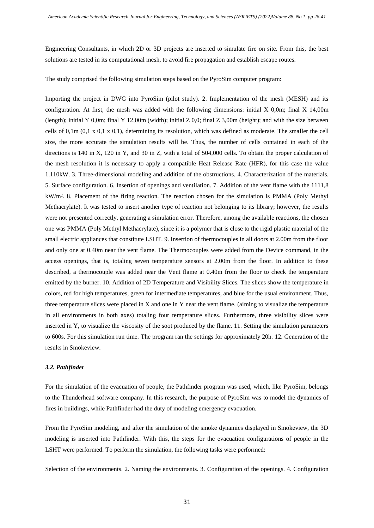Engineering Consultants, in which 2D or 3D projects are inserted to simulate fire on site. From this, the best solutions are tested in its computational mesh, to avoid fire propagation and establish escape routes.

The study comprised the following simulation steps based on the PyroSim computer program:

Importing the project in DWG into PyroSim (pilot study). 2. Implementation of the mesh (MESH) and its configuration. At first, the mesh was added with the following dimensions: initial X 0,0m; final X 14,00m (length); initial Y 0,0m; final Y 12,00m (width); initial Z 0,0; final Z 3,00m (height); and with the size between cells of  $0,1m$   $(0,1 \times 0,1 \times 0,1)$ , determining its resolution, which was defined as moderate. The smaller the cell size, the more accurate the simulation results will be. Thus, the number of cells contained in each of the directions is 140 in X, 120 in Y, and 30 in Z, with a total of 504,000 cells. To obtain the proper calculation of the mesh resolution it is necessary to apply a compatible Heat Release Rate (HFR), for this case the value 1.110kW. 3. Three-dimensional modeling and addition of the obstructions. 4. Characterization of the materials. 5. Surface configuration. 6. Insertion of openings and ventilation. 7. Addition of the vent flame with the 1111,8 kW/m². 8. Placement of the firing reaction. The reaction chosen for the simulation is PMMA (Poly Methyl Methacrylate). It was tested to insert another type of reaction not belonging to its library; however, the results were not presented correctly, generating a simulation error. Therefore, among the available reactions, the chosen one was PMMA (Poly Methyl Methacrylate), since it is a polymer that is close to the rigid plastic material of the small electric appliances that constitute LSHT. 9. Insertion of thermocouples in all doors at 2.00m from the floor and only one at 0.40m near the vent flame. The Thermocouples were added from the Device command, in the access openings, that is, totaling seven temperature sensors at 2.00m from the floor. In addition to these described, a thermocouple was added near the Vent flame at 0.40m from the floor to check the temperature emitted by the burner. 10. Addition of 2D Temperature and Visibility Slices. The slices show the temperature in colors, red for high temperatures, green for intermediate temperatures, and blue for the usual environment. Thus, three temperature slices were placed in X and one in Y near the vent flame, (aiming to visualize the temperature in all environments in both axes) totaling four temperature slices. Furthermore, three visibility slices were inserted in Y, to visualize the viscosity of the soot produced by the flame. 11. Setting the simulation parameters to 600s. For this simulation run time. The program ran the settings for approximately 20h. 12. Generation of the results in Smokeview.

#### *3.2. Pathfinder*

For the simulation of the evacuation of people, the Pathfinder program was used, which, like PyroSim, belongs to the Thunderhead software company. In this research, the purpose of PyroSim was to model the dynamics of fires in buildings, while Pathfinder had the duty of modeling emergency evacuation.

From the PyroSim modeling, and after the simulation of the smoke dynamics displayed in Smokeview, the 3D modeling is inserted into Pathfinder. With this, the steps for the evacuation configurations of people in the LSHT were performed. To perform the simulation, the following tasks were performed:

Selection of the environments. 2. Naming the environments. 3. Configuration of the openings. 4. Configuration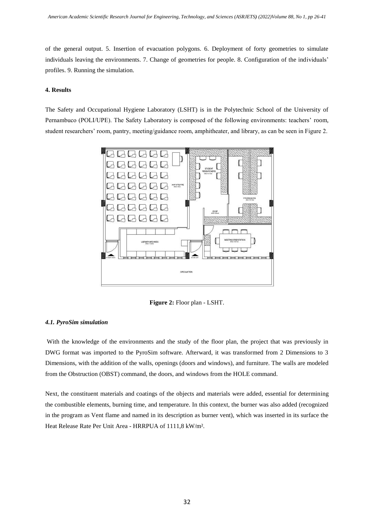of the general output. 5. Insertion of evacuation polygons. 6. Deployment of forty geometries to simulate individuals leaving the environments. 7. Change of geometries for people. 8. Configuration of the individuals' profiles. 9. Running the simulation.

## **4. Results**

The Safety and Occupational Hygiene Laboratory (LSHT) is in the Polytechnic School of the University of Pernambuco (POLI/UPE). The Safety Laboratory is composed of the following environments: teachers' room, student researchers' room, pantry, meeting/guidance room, amphitheater, and library, as can be seen in Figure 2.



**Figure 2:** Floor plan - LSHT.

#### *4.1. PyroSim simulation*

With the knowledge of the environments and the study of the floor plan, the project that was previously in DWG format was imported to the PyroSim software. Afterward, it was transformed from 2 Dimensions to 3 Dimensions, with the addition of the walls, openings (doors and windows), and furniture. The walls are modeled from the Obstruction (OBST) command, the doors, and windows from the HOLE command.

Next, the constituent materials and coatings of the objects and materials were added, essential for determining the combustible elements, burning time, and temperature. In this context, the burner was also added (recognized in the program as Vent flame and named in its description as burner vent), which was inserted in its surface the Heat Release Rate Per Unit Area - HRRPUA of 1111,8 kW/m².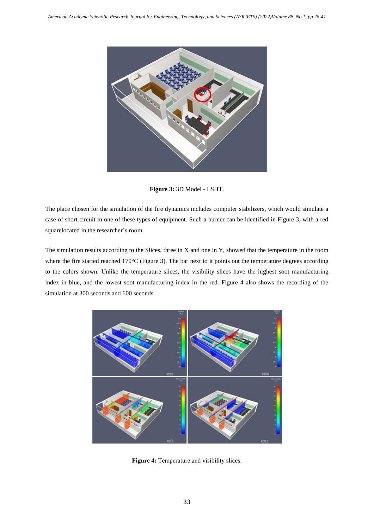

**Figure 3:** 3D Model - LSHT.

The place chosen for the simulation of the fire dynamics includes computer stabilizers, which would simulate a case of short circuit in one of these types of equipment. Such a burner can be identified in Figure 3, with a red squarelocated in the researcher's room.

The simulation results according to the Slices, three in X and one in Y, showed that the temperature in the room where the fire started reached 170°C (Figure 3). The bar next to it points out the temperature degrees according to the colors shown. Unlike the temperature slices, the visibility slices have the highest soot manufacturing index in blue, and the lowest soot manufacturing index in the red. Figure 4 also shows the recording of the simulation at 300 seconds and 600 seconds.



**Figure 4:** Temperature and visibility slices.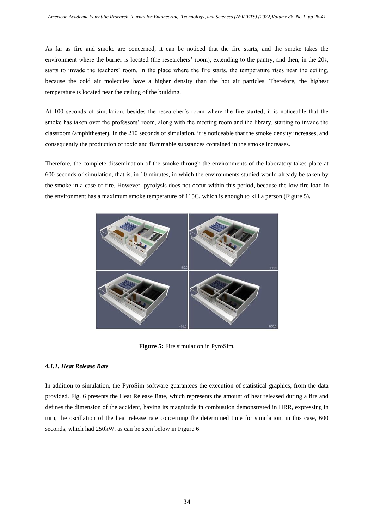As far as fire and smoke are concerned, it can be noticed that the fire starts, and the smoke takes the environment where the burner is located (the researchers' room), extending to the pantry, and then, in the 20s, starts to invade the teachers' room. In the place where the fire starts, the temperature rises near the ceiling, because the cold air molecules have a higher density than the hot air particles. Therefore, the highest temperature is located near the ceiling of the building.

At 100 seconds of simulation, besides the researcher's room where the fire started, it is noticeable that the smoke has taken over the professors' room, along with the meeting room and the library, starting to invade the classroom (amphitheater). In the 210 seconds of simulation, it is noticeable that the smoke density increases, and consequently the production of toxic and flammable substances contained in the smoke increases.

Therefore, the complete dissemination of the smoke through the environments of the laboratory takes place at 600 seconds of simulation, that is, in 10 minutes, in which the environments studied would already be taken by the smoke in a case of fire. However, pyrolysis does not occur within this period, because the low fire load in the environment has a maximum smoke temperature of 115C, which is enough to kill a person (Figure 5).



**Figure 5:** Fire simulation in PyroSim.

# *4.1.1. Heat Release Rate*

In addition to simulation, the PyroSim software guarantees the execution of statistical graphics, from the data provided. Fig. 6 presents the Heat Release Rate, which represents the amount of heat released during a fire and defines the dimension of the accident, having its magnitude in combustion demonstrated in HRR, expressing in turn, the oscillation of the heat release rate concerning the determined time for simulation, in this case, 600 seconds, which had 250kW, as can be seen below in Figure 6.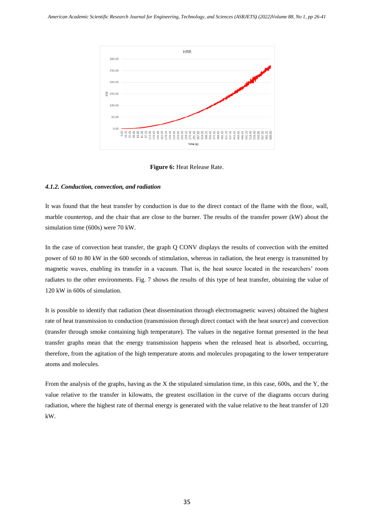

**Figure 6:** Heat Release Rate.

# *4.1.2. Conduction, convection, and radiation*

It was found that the heat transfer by conduction is due to the direct contact of the flame with the floor, wall, marble countertop, and the chair that are close to the burner. The results of the transfer power (kW) about the simulation time (600s) were 70 kW.

In the case of convection heat transfer, the graph Q CONV displays the results of convection with the emitted power of 60 to 80 kW in the 600 seconds of stimulation, whereas in radiation, the heat energy is transmitted by magnetic waves, enabling its transfer in a vacuum. That is, the heat source located in the researchers' room radiates to the other environments. Fig. 7 shows the results of this type of heat transfer, obtaining the value of 120 kW in 600s of simulation.

It is possible to identify that radiation (heat dissemination through electromagnetic waves) obtained the highest rate of heat transmission to conduction (transmission through direct contact with the heat source) and convection (transfer through smoke containing high temperature). The values in the negative format presented in the heat transfer graphs mean that the energy transmission happens when the released heat is absorbed, occurring, therefore, from the agitation of the high temperature atoms and molecules propagating to the lower temperature atoms and molecules.

From the analysis of the graphs, having as the X the stipulated simulation time, in this case, 600s, and the Y, the value relative to the transfer in kilowatts, the greatest oscillation in the curve of the diagrams occurs during radiation, where the highest rate of thermal energy is generated with the value relative to the heat transfer of 120 kW.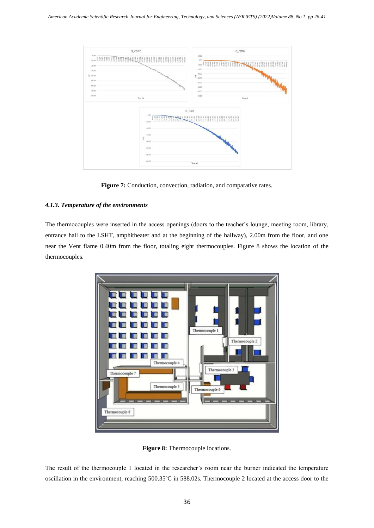

**Figure 7:** Conduction, convection, radiation, and comparative rates.

# *4.1.3. Temperature of the environments*

The thermocouples were inserted in the access openings (doors to the teacher's lounge, meeting room, library, entrance hall to the LSHT, amphitheater and at the beginning of the hallway), 2.00m from the floor, and one near the Vent flame 0.40m from the floor, totaling eight thermocouples. Figure 8 shows the location of the thermocouples.



**Figure 8:** Thermocouple locations.

The result of the thermocouple 1 located in the researcher's room near the burner indicated the temperature oscillation in the environment, reaching 500.35ºC in 588.02s. Thermocouple 2 located at the access door to the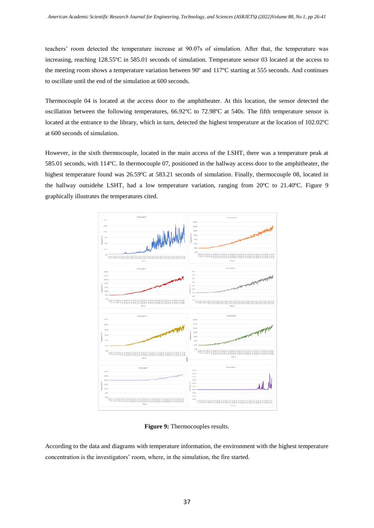teachers' room detected the temperature increase at 90.07s of simulation. After that, the temperature was increasing, reaching 128.55ºC in 585.01 seconds of simulation. Temperature sensor 03 located at the access to the meeting room shows a temperature variation between 90º and 117ºC starting at 555 seconds. And continues to oscillate until the end of the simulation at 600 seconds.

Thermocouple 04 is located at the access door to the amphitheater. At this location, the sensor detected the oscillation between the following temperatures, 66.92ºC to 72.98ºC at 540s. The fifth temperature sensor is located at the entrance to the library, which in turn, detected the highest temperature at the location of 102.02ºC at 600 seconds of simulation.

However, in the sixth thermocouple, located in the main access of the LSHT, there was a temperature peak at 585.01 seconds, with 114ºC. In thermocouple 07, positioned in the hallway access door to the amphitheater, the highest temperature found was 26.59°C at 583.21 seconds of simulation. Finally, thermocouple 08, located in the hallway outsidehe LSHT, had a low temperature variation, ranging from 20ºC to 21.40ºC. Figure 9 graphically illustrates the temperatures cited.



**Figure 9:** Thermocouples results.

According to the data and diagrams with temperature information, the environment with the highest temperature concentration is the investigators' room, where, in the simulation, the fire started.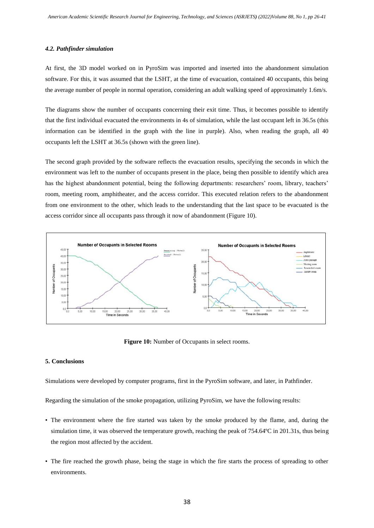#### *4.2. Pathfinder simulation*

At first, the 3D model worked on in PyroSim was imported and inserted into the abandonment simulation software. For this, it was assumed that the LSHT, at the time of evacuation, contained 40 occupants, this being the average number of people in normal operation, considering an adult walking speed of approximately 1.6m/s.

The diagrams show the number of occupants concerning their exit time. Thus, it becomes possible to identify that the first individual evacuated the environments in 4s of simulation, while the last occupant left in 36.5s (this information can be identified in the graph with the line in purple). Also, when reading the graph, all 40 occupants left the LSHT at 36.5s (shown with the green line).

The second graph provided by the software reflects the evacuation results, specifying the seconds in which the environment was left to the number of occupants present in the place, being then possible to identify which area has the highest abandonment potential, being the following departments: researchers' room, library, teachers' room, meeting room, amphitheater, and the access corridor. This executed relation refers to the abandonment from one environment to the other, which leads to the understanding that the last space to be evacuated is the access corridor since all occupants pass through it now of abandonment (Figure 10).



**Figure 10:** Number of Occupants in select rooms.

# **5. Conclusions**

Simulations were developed by computer programs, first in the PyroSim software, and later, in Pathfinder.

Regarding the simulation of the smoke propagation, utilizing PyroSim, we have the following results:

- The environment where the fire started was taken by the smoke produced by the flame, and, during the simulation time, it was observed the temperature growth, reaching the peak of 754.64ºC in 201.31s, thus being the region most affected by the accident.
- The fire reached the growth phase, being the stage in which the fire starts the process of spreading to other environments.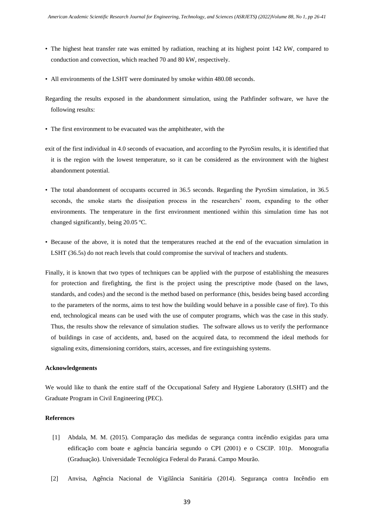- The highest heat transfer rate was emitted by radiation, reaching at its highest point 142 kW, compared to conduction and convection, which reached 70 and 80 kW, respectively.
- All environments of the LSHT were dominated by smoke within 480.08 seconds.
- Regarding the results exposed in the abandonment simulation, using the Pathfinder software, we have the following results:
- The first environment to be evacuated was the amphitheater, with the
- exit of the first individual in 4.0 seconds of evacuation, and according to the PyroSim results, it is identified that it is the region with the lowest temperature, so it can be considered as the environment with the highest abandonment potential.
- The total abandonment of occupants occurred in 36.5 seconds. Regarding the PyroSim simulation, in 36.5 seconds, the smoke starts the dissipation process in the researchers' room, expanding to the other environments. The temperature in the first environment mentioned within this simulation time has not changed significantly, being 20.05 ºC.
- Because of the above, it is noted that the temperatures reached at the end of the evacuation simulation in LSHT (36.5s) do not reach levels that could compromise the survival of teachers and students.
- Finally, it is known that two types of techniques can be applied with the purpose of establishing the measures for protection and firefighting, the first is the project using the prescriptive mode (based on the laws, standards, and codes) and the second is the method based on performance (this, besides being based according to the parameters of the norms, aims to test how the building would behave in a possible case of fire). To this end, technological means can be used with the use of computer programs, which was the case in this study. Thus, the results show the relevance of simulation studies. The software allows us to verify the performance of buildings in case of accidents, and, based on the acquired data, to recommend the ideal methods for signaling exits, dimensioning corridors, stairs, accesses, and fire extinguishing systems.

#### **Acknowledgements**

We would like to thank the entire staff of the Occupational Safety and Hygiene Laboratory (LSHT) and the Graduate Program in Civil Engineering (PEC).

# **References**

- [1] Abdala, M. M. (2015). Comparação das medidas de segurança contra incêndio exigidas para uma edificação com boate e agência bancária segundo o CPI (2001) e o CSCIP. 101p. Monografia (Graduação). Universidade Tecnológica Federal do Paraná. Campo Mourão.
- [2] Anvisa, Agência Nacional de Vigilância Sanitária (2014). Segurança contra Incêndio em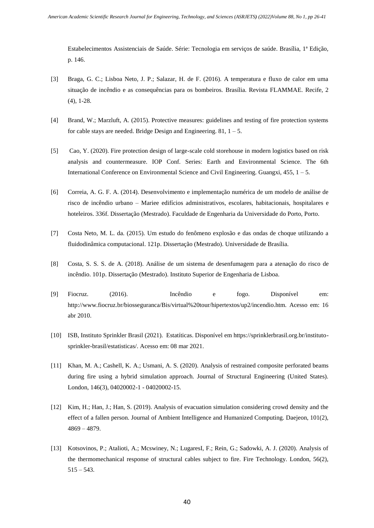Estabelecimentos Assistenciais de Saúde. Série: Tecnologia em serviços de saúde. Brasília, 1ª Edição, p. 146.

- [3] Braga, G. C.; Lisboa Neto, J. P.; Salazar, H. de F. (2016). A temperatura e fluxo de calor em uma situação de incêndio e as consequências para os bombeiros. Brasília. Revista FLAMMAE. Recife, 2 (4), 1-28.
- [4] Brand, W.; Marzluft, A. (2015). Protective measures: guidelines and testing of fire protection systems for cable stays are needed. Bridge Design and Engineering. 81,  $1 - 5$ .
- [5] Cao, Y. (2020). Fire protection design of large-scale cold storehouse in modern logistics based on risk analysis and countermeasure. IOP Conf. Series: Earth and Environmental Science. The 6th International Conference on Environmental Science and Civil Engineering. Guangxi, 455, 1 – 5.
- [6] Correia, A. G. F. A. (2014). Desenvolvimento e implementação numérica de um modelo de análise de risco de incêndio urbano – Mariee edifícios administrativos, escolares, habitacionais, hospitalares e hoteleiros. 336f. Dissertação (Mestrado). Faculdade de Engenharia da Universidade do Porto, Porto.
- [7] Costa Neto, M. L. da. (2015). Um estudo do fenômeno explosão e das ondas de choque utilizando a fluidodinâmica computacional. 121p. Dissertação (Mestrado). Universidade de Brasília.
- [8] Costa, S. S. S. de A. (2018). Análise de um sistema de desenfumagem para a atenação do risco de incêndio. 101p. Dissertação (Mestrado). Instituto Superior de Engenharia de Lisboa.
- [9] Fiocruz. (2016). Incêndio e fogo. Disponível em: http://www.fiocruz.br/biosseguranca/Bis/virtual%20tour/hipertextos/up2/incendio.htm. Acesso em: 16 abr 2010.
- [10] ISB, Instituto Sprinkler Brasil (2021). Estatíticas. Disponível em https://sprinklerbrasil.org.br/institutosprinkler-brasil/estatisticas/. Acesso em: 08 mar 2021.
- [11] Khan, M. A.; Cashell, K. A.; Usmani, A. S. (2020). Analysis of restrained composite perforated beams during fire using a hybrid simulation approach. Journal of Structural Engineering (United States). London, 146(3), 04020002-1 - 04020002-15.
- [12] Kim, H.; Han, J.; Han, S. (2019). Analysis of evacuation simulation considering crowd density and the effect of a fallen person. Journal of Ambient Intelligence and Humanized Computing. Daejeon, 101(2), 4869 – 4879.
- [13] Kotsovinos, P.; Atalioti, A.; Mcswiney, N.; LugaresI, F.; Rein, G.; Sadowki, A. J. (2020). Analysis of the thermomechanical response of structural cables subject to fire. Fire Technology. London, 56(2), 515 – 543.